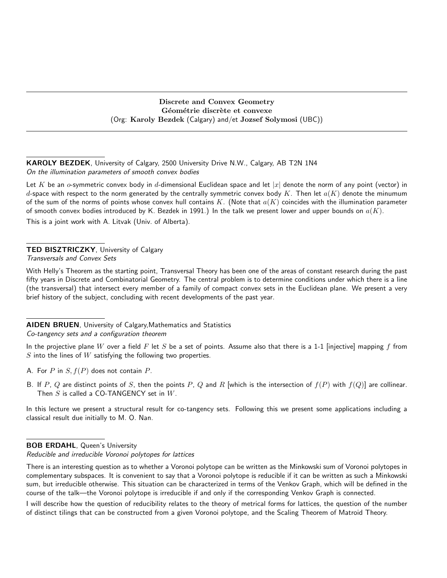Discrete and Convex Geometry Géométrie discrète et convexe (Org: Karoly Bezdek (Calgary) and/et Jozsef Solymosi (UBC))

KAROLY BEZDEK, University of Calgary, 2500 University Drive N.W., Calgary, AB T2N 1N4 On the illumination parameters of smooth convex bodies

Let K be an o-symmetric convex body in d-dimensional Euclidean space and let  $|x|$  denote the norm of any point (vector) in d-space with respect to the norm generated by the centrally symmetric convex body K. Then let  $a(K)$  denote the minumum of the sum of the norms of points whose convex hull contains K. (Note that  $a(K)$  coincides with the illumination parameter of smooth convex bodies introduced by K. Bezdek in 1991.) In the talk we present lower and upper bounds on  $a(K)$ .

This is a joint work with A. Litvak (Univ. of Alberta).

#### TED BISZTRICZKY, University of Calgary Transversals and Convex Sets

With Helly's Theorem as the starting point, Transversal Theory has been one of the areas of constant research during the past fifty years in Discrete and Combinatorial Geometry. The central problem is to determine conditions under which there is a line (the transversal) that intersect every member of a family of compact convex sets in the Euclidean plane. We present a very brief history of the subject, concluding with recent developments of the past year.

AIDEN BRUEN, University of Calgary,Mathematics and Statistics Co-tangency sets and a configuration theorem

In the projective plane W over a field F let S be a set of points. Assume also that there is a 1-1 [injective] mapping f from  $S$  into the lines of  $W$  satisfying the following two properties.

A. For P in  $S, f(P)$  does not contain P.

B. If P, Q are distinct points of S, then the points P, Q and R which is the intersection of  $f(P)$  with  $f(Q)$  are collinear. Then  $S$  is called a CO-TANGENCY set in  $W$ .

In this lecture we present a structural result for co-tangency sets. Following this we present some applications including a classical result due initially to M. O. Nan.

## BOB ERDAHL, Queen's University

Reducible and irreducible Voronoi polytopes for lattices

There is an interesting question as to whether a Voronoi polytope can be written as the Minkowski sum of Voronoi polytopes in complementary subspaces. It is convenient to say that a Voronoi polytope is reducible if it can be written as such a Minkowski sum, but irreducible otherwise. This situation can be characterized in terms of the Venkov Graph, which will be defined in the course of the talk—the Voronoi polytope is irreducible if and only if the corresponding Venkov Graph is connected.

I will describe how the question of reducibility relates to the theory of metrical forms for lattices, the question of the number of distinct tilings that can be constructed from a given Voronoi polytope, and the Scaling Theorem of Matroid Theory.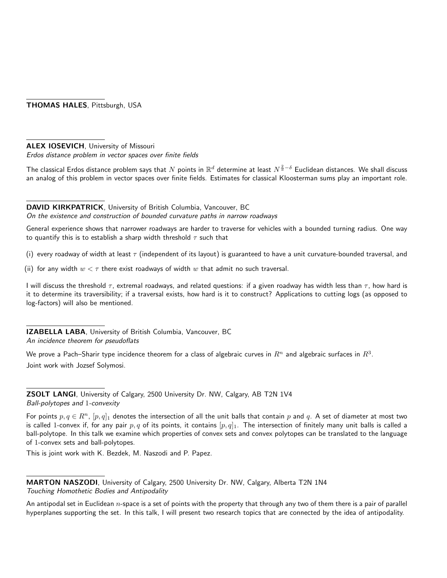## THOMAS HALES, Pittsburgh, USA

## ALEX IOSEVICH, University of Missouri

Erdos distance problem in vector spaces over finite fields

The classical Erdos distance problem says that  $N$  points in  $\R^d$  determine at least  $N^{\frac{2}{d}-\delta}$  Euclidean distances. We shall discuss an analog of this problem in vector spaces over finite fields. Estimates for classical Kloosterman sums play an important role.

## DAVID KIRKPATRICK, University of British Columbia, Vancouver, BC

On the existence and construction of bounded curvature paths in narrow roadways

General experience shows that narrower roadways are harder to traverse for vehicles with a bounded turning radius. One way to quantify this is to establish a sharp width threshold  $\tau$  such that

(i) every roadway of width at least  $\tau$  (independent of its layout) is guaranteed to have a unit curvature-bounded traversal, and

(ii) for any width  $w < \tau$  there exist roadways of width w that admit no such traversal.

I will discuss the threshold  $\tau$ , extremal roadways, and related questions: if a given roadway has width less than  $\tau$ , how hard is it to determine its traversibility; if a traversal exists, how hard is it to construct? Applications to cutting logs (as opposed to log-factors) will also be mentioned.

IZABELLA LABA, University of British Columbia, Vancouver, BC An incidence theorem for pseudoflats

We prove a Pach–Sharir type incidence theorem for a class of algebraic curves in  $R^n$  and algebraic surfaces in  $R^3.$ Joint work with Jozsef Solymosi.

ZSOLT LANGI, University of Calgary, 2500 University Dr. NW, Calgary, AB T2N 1V4 Ball-polytopes and 1-convexity

This is joint work with K. Bezdek, M. Naszodi and P. Papez.

MARTON NASZODI, University of Calgary, 2500 University Dr. NW, Calgary, Alberta T2N 1N4 Touching Homothetic Bodies and Antipodality

An antipodal set in Euclidean  $n$ -space is a set of points with the property that through any two of them there is a pair of parallel hyperplanes supporting the set. In this talk, I will present two research topics that are connected by the idea of antipodality.

For points  $p, q \in \mathbb{R}^n$ ,  $[p, q]_1$  denotes the intersection of all the unit balls that contain p and q. A set of diameter at most two is called 1-convex if, for any pair p, q of its points, it contains  $[p, q]_1$ . The intersection of finitely many unit balls is called a ball-polytope. In this talk we examine which properties of convex sets and convex polytopes can be translated to the language of 1-convex sets and ball-polytopes.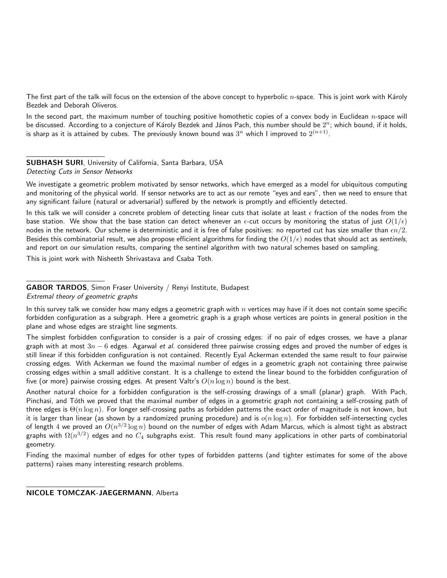The first part of the talk will focus on the extension of the above concept to hyperbolic  $n$ -space. This is joint work with Károly Bezdek and Deborah Oliveros.

In the second part, the maximum number of touching positive homothetic copies of a convex body in Euclidean  $n$ -space will be discussed. According to a conjecture of Károly Bezdek and János Pach, this number should be  $2^n$ ; which bound, if it holds, is sharp as it is attained by cubes. The previously known bound was  $3^n$  which I improved to  $2^{(n+1)}.$ 

#### SUBHASH SURI, University of California, Santa Barbara, USA

#### Detecting Cuts in Sensor Networks

We investigate a geometric problem motivated by sensor networks, which have emerged as a model for ubiquitous computing and monitoring of the physical world. If sensor networks are to act as our remote "eyes and ears", then we need to ensure that any significant failure (natural or adversarial) suffered by the network is promptly and efficiently detected.

In this talk we will consider a concrete problem of detecting linear cuts that isolate at least  $\epsilon$  fraction of the nodes from the base station. We show that the base station can detect whenever an  $\epsilon$ -cut occurs by monitoring the status of just  $O(1/\epsilon)$ nodes in the network. Our scheme is deterministic and it is free of false positives: no reported cut has size smaller than  $\epsilon n/2$ . Besides this combinatorial result, we also propose efficient algorithms for finding the  $O(1/\epsilon)$  nodes that should act as sentinels, and report on our simulation results, comparing the sentinel algorithm with two natural schemes based on sampling.

This is joint work with Nisheeth Shrivastava and Csaba Toth.

# GABOR TARDOS, Simon Fraser University / Renyi Institute, Budapest

## Extremal theory of geometric graphs

In this survey talk we consider how many edges a geometric graph with  $n$  vertices may have if it does not contain some specific forbidden configuration as a subgraph. Here a geometric graph is a graph whose vertices are points in general position in the plane and whose edges are straight line segments.

The simplest forbidden configuration to consider is a pair of crossing edges: if no pair of edges crosses, we have a planar graph with at most  $3n - 6$  edges. Agarwal et al. considered three pairwise crossing edges and proved the number of edges is still linear if this forbidden configuration is not contained. Recently Eyal Ackerman extended the same result to four pairwise crossing edges. With Ackerman we found the maximal number of edges in a geometric graph not containing three pairwise crossing edges within a small additive constant. It is a challenge to extend the linear bound to the forbidden configuration of five (or more) pairwise crossing edges. At present Valtr's  $O(n \log n)$  bound is the best.

Another natural choice for a forbidden configuration is the self-crossing drawings of a small (planar) graph. With Pach, Pinchasi, and Tóth we proved that the maximal number of edges in a geometric graph not containing a self-crossing path of three edges is  $\Theta(n \log n)$ . For longer self-crossing paths as forbidden patterns the exact order of magnitude is not known, but it is larger than linear (as shown by a randomized pruning procedure) and is  $o(n \log n)$ . For forbidden self-intersecting cycles of length 4 we proved an  $O(n^{3/2}\log n)$  bound on the number of edges with Adam Marcus, which is almost tight as abstract graphs with  $\Omega(n^{3/2})$  edges and no  $C_4$  subgraphs exist. This result found many applications in other parts of combinatorial geometry.

Finding the maximal number of edges for other types of forbidden patterns (and tighter estimates for some of the above patterns) raises many interesting research problems.

NICOLE TOMCZAK-JAEGERMANN, Alberta